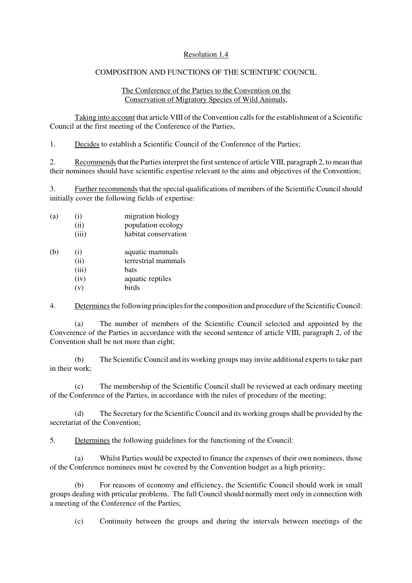## Resolution 1.4

## COMPOSITION AND FUNCTIONS OF THE SCIENTIFIC COUNCIL

## The Conference of the Parties to the Convention on the Conservation of Migratory Species of Wild Animals,

Taking into account that article VIII of the Convention calls for the establishment of a Scientific Council at the first meeting of the Conference of the Parties,

1. Decides to establish a Scientific Council of the Conference of the Parties;

2. Recommends that the Parties interpret the first sentence of article VIII, paragraph 2, to mean that their nominees should have scientific expertise relevant to the aims and objectives of the Convention;

3. Further recommends that the special qualifications of members of the Scientific Council should initially cover the following fields of expertise:

| (a) | (i)<br>(ii)<br>(iii) | migration biology<br>population ecology<br>habitat conservation |
|-----|----------------------|-----------------------------------------------------------------|
| (b) | (i)<br>(ii)          | aquatic mammals<br>terrestrial mammals                          |
|     | (iii)                | bats                                                            |
|     | (iv)                 | aquatic reptiles                                                |

(v) birds

4. Determines the following principles for the composition and procedure of the Scientific Council:

(a) The number of members of the Scientific Council selected and appointed by the Converence of the Parties in accordance with the second sentence of article VIII, paragraph 2, of the Convention shall be not more than eight;

(b) The Scientific Council and its working groups may invite additional experts to take part in their work;

The membership of the Scientific Council shall be reviewed at each ordinary meeting of the Conference of the Parties, in accordance with the rules of procedure of the meeting;

(d) The Secretary for the Scientific Council and its working groups shall be provided by the secretariat of the Convention;

5. Determines the following guidelines for the functioning of the Council:

(a) Whilst Parties would be expected to finance the expenses of their own nominees, those of the Conference nominees must be covered by the Convention budget as a high priority;

(b) For reasons of economy and efficiency, the Scientific Council should work in small groups dealing with prticular problems. The full Council should normally meet only in connection with a meeting of the Conference of the Parties;

(c) Continuity between the groups and during the intervals between meetings of the